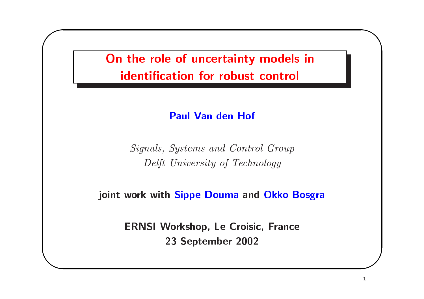On the role of uncertainty models in identification for robust control

#### **Paul Van den Hof**

Signals, Systems and Control Group Delft University of Technology

joint work with Sippe Douma and Okko Bosgra

**ERNSI Workshop, Le Croisic, France** 23 September 2002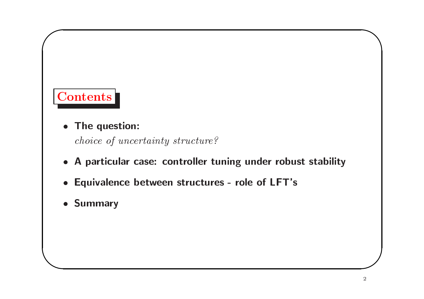# **Contents**

• The question:

choice of uncertainty structure?

- A particular case: controller tuning under robust stability
- Equivalence between structures role of LFT's
- Summary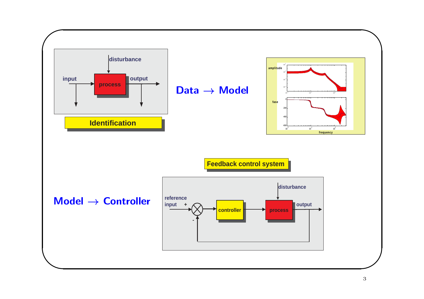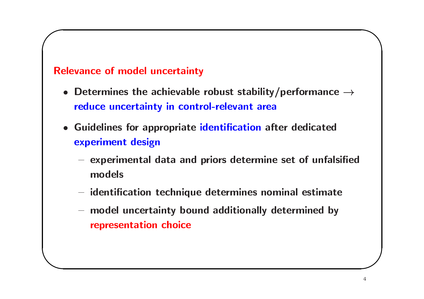#### **Relevance of model uncertainty**

- Determines the achievable robust stability/performance  $\rightarrow$ reduce uncertainty in control-relevant area
- Guidelines for appropriate identification after dedicated experiment design
	- experimental data and priors determine set of unfalsified models
	- identification technique determines nominal estimate
	- model uncertainty bound additionally determined by representation choice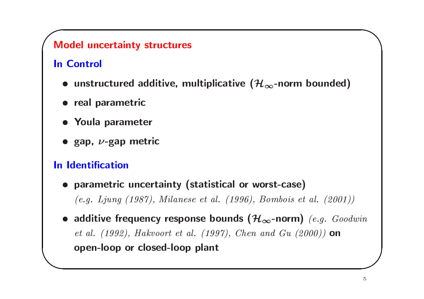### **Model uncertainty structures**

# **In Control**

- unstructured additive, multiplicative  $(\mathcal{H}_{\infty}$ -norm bounded)
- · real parametric
- Youla parameter
- $\bullet$  gap,  $\nu$ -gap metric

## In Identification

- parametric uncertainty (statistical or worst-case)  $(e.g. Ljung (1987), Milano et al. (1996), Bombois et al. (2001))$
- additive frequency response bounds  $(\mathcal{H}_{\infty}$ -norm) (e.g. Goodwin *et al.* (1992), Hakvoort et al. (1997), Chen and Gu (2000)) on open-loop or closed-loop plant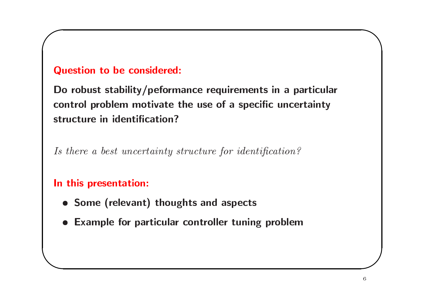### **Question to be considered:**

Do robust stability/peformance requirements in a particular control problem motivate the use of a specific uncertainty structure in identification?

Is there a best uncertainty structure for identification?

#### In this presentation:

- Some (relevant) thoughts and aspects
- Example for particular controller tuning problem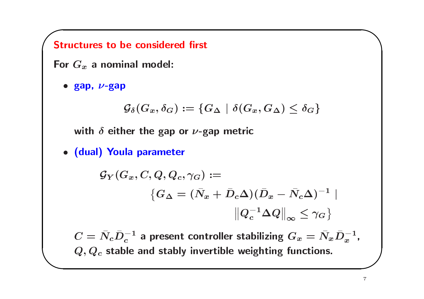**Structures to be considered first** 

For  $G_x$  a nominal model:

 $\bullet$  gap,  $\nu$ -gap

$$
{\mathcal{G}}_\delta(G_x,\delta_G):=\{G_\Delta\,\,|\,\, \delta(G_x,G_\Delta)\leq \delta_G\}
$$

with  $\delta$  either the gap or  $\nu$ -gap metric

· (dual) Youla parameter

$$
\begin{aligned} \mathcal{G}_Y(G_x,C,Q,Q_c,\gamma_G) := \\ \big\{ G_\Delta = (\bar{N}_x + \bar{D}_c \Delta) (\bar{D}_x - \bar{N}_c \Delta)^{-1} \\ \big\| Q_c^{-1} \Delta Q \big\|_\infty \leq \gamma_G \big\} \end{aligned}
$$

 $C = \bar{N}_c \bar{D}_c^{-1}$  a present controller stabilizing  $G_x = \bar{N}_x \bar{D}_x^{-1}$ ,  $Q, Q_c$  stable and stably invertible weighting functions.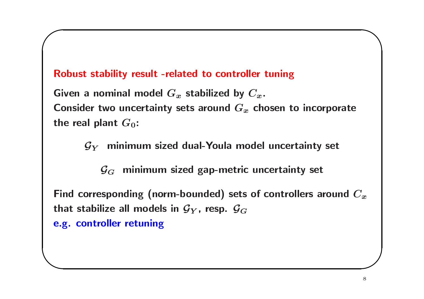#### Robust stability result -related to controller tuning

Given a nominal model  $G_x$  stabilized by  $C_x$ . Consider two uncertainty sets around  $G_x$  chosen to incorporate the real plant  $G_0$ :

 $\mathcal{G}_Y$  minimum sized dual-Youla model uncertainty set

 $\mathcal{G}_G$  minimum sized gap-metric uncertainty set

Find corresponding (norm-bounded) sets of controllers around  $C_x$ that stabilize all models in  $\mathcal{G}_Y$ , resp.  $\mathcal{G}_G$ 

e.g. controller retuning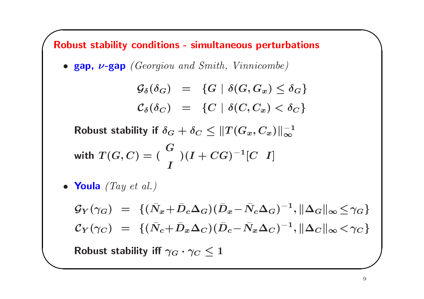**Robust stability conditions - simultaneous perturbations** • gap,  $\nu$ -gap (Georgiou and Smith, Vinnicombe)  $\mathcal{G}_{\delta}(\delta_G) = \{G \mid \delta(G, G_x) \leq \delta_G\}$  $\mathcal{C}_{\delta}(\delta_C) = \{C \mid \delta(C, C_x) < \delta_C\}$ Robust stability if  $\delta_G + \delta_C \leq ||T(G_x, C_x)||^{-1}$ with  $T(G, C) = \begin{pmatrix} G \\ I \end{pmatrix} (I + CG)^{-1} [C \ I]$ • Youla  $(Tay \text{ et } al.)$  $\mathcal{G}_Y(\gamma_G) = \{(\bar{N}_x + \bar{D}_c \Delta_G)(\bar{D}_x - \bar{N}_c \Delta_G)^{-1}, ||\Delta_G||_{\infty} < \gamma_G\}$  $\mathcal{C}_Y(\gamma_C) = \{(\bar{N}_c + \bar{D}_x \Delta_C)(\bar{D}_c - \bar{N}_x \Delta_C)^{-1}, ||\Delta_C||_{\infty} < \gamma_C\}$ Robust stability iff  $\gamma_G \cdot \gamma_C < 1$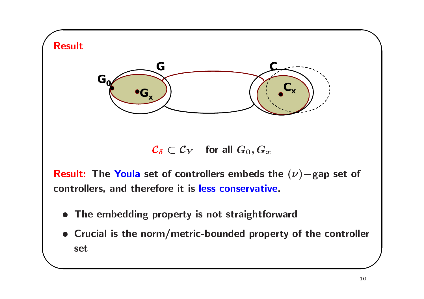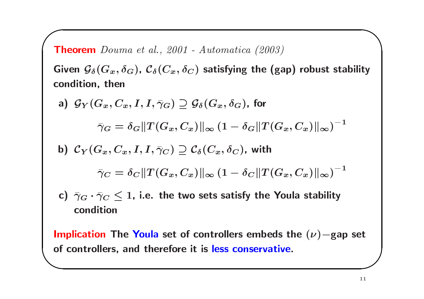**Theorem** Douma et al., 2001 - Automatica (2003)

Given  $\mathcal{G}_{\delta}(G_x,\delta_G)$ ,  $\mathcal{C}_{\delta}(C_x,\delta_C)$  satisfying the (gap) robust stability condition, then

a)  $\mathcal{G}_Y(G_x, C_x, I, I, \bar{\gamma}_G) \supset \mathcal{G}_{\delta}(G_x, \delta_G)$ , for  $\bar{\gamma}_G = \delta_G ||T(G_x, C_x)||_{\infty} (1 - \delta_G ||T(G_x, C_x)||_{\infty})^{-1}$ 

b) 
$$
C_Y(G_x, C_x, I, I, \overline{\gamma}_C) \supseteq C_{\delta}(C_x, \delta_C)
$$
, with

$$
\bar{\gamma}_C = \delta_C \|T(G_x,C_x)\|_\infty \left(1 - \delta_C \|T(G_x,C_x)\|_\infty\right)^{-1}
$$

c)  $\bar{\gamma}_G \cdot \bar{\gamma}_C \leq 1$ , i.e. the two sets satisfy the Youla stability condition

Implication The Youla set of controllers embeds the  $(\nu)$ -gap set of controllers, and therefore it is less conservative.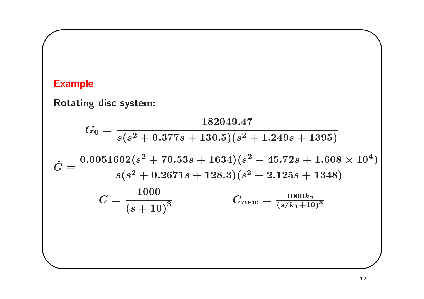# **Example**

Rotating disc system:

$$
G_0 = \frac{182049.47}{s(s^2 + 0.377s + 130.5)(s^2 + 1.249s + 1395)}
$$
  

$$
\hat{G} = \frac{0.0051602(s^2 + 70.53s + 1634)(s^2 - 45.72s + 1.608 \times 10^4)}{s(s^2 + 0.2671s + 128.3)(s^2 + 2.125s + 1348)}
$$
  

$$
C = \frac{1000}{(s + 10)^3}
$$
  

$$
C_{new} = \frac{1000k_2}{(s/k_1 + 10)^3}
$$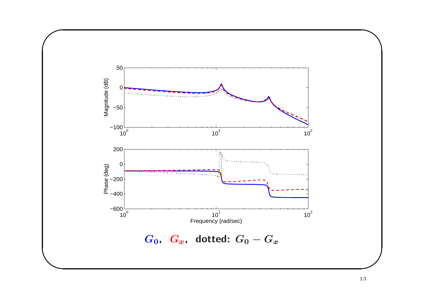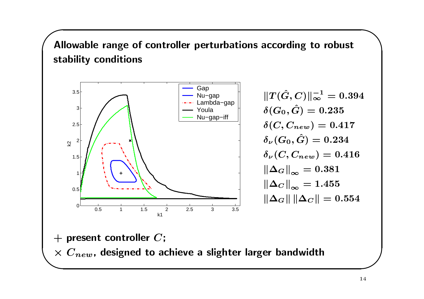Allowable range of controller perturbations according to robust stability conditions



 $||T(\hat{G}, C)||_{\infty}^{-1} = 0.394$  $\delta(G_0,\hat{G})=0.235$  $\delta(C, C_{new}) = 0.417$  $\delta_{\nu}(G_0,\hat{G})=0.234$  $\delta_{\nu}(C, C_{new}) = 0.416$  $\left\Vert \Delta_{G}\right\Vert _{\infty}=0.381$  $\|\Delta_C\|_{\infty} = 1.455$  $\|\Delta_G\| \|\Delta_C\| = 0.554$ 

 $+$  present controller  $C$ ;  $\times C_{new}$ , designed to achieve a slighter larger bandwidth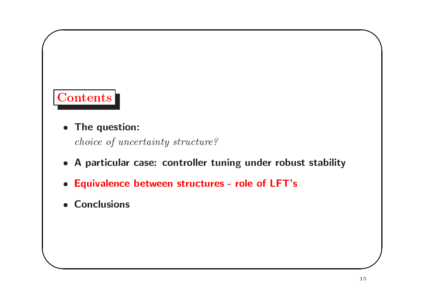# **Contents**

• The question:

choice of uncertainty structure?

- A particular case: controller tuning under robust stability
- Equivalence between structures role of LFT's
- Conclusions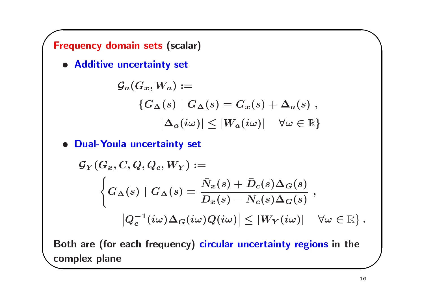**Frequency domain sets (scalar)** 

· Additive uncertainty set

$$
\begin{aligned} \mathcal{G}_a(G_x,W_a) := \\ \{ G_\Delta(s) \mid G_\Delta(s) = G_x(s) + \Delta_a(s) \;, \\ |\Delta_a(i\omega)| &\leq |W_a(i\omega)| \quad \forall \omega \in \mathbb{R} \} \end{aligned}
$$

. Dual-Youla uncertainty set

$$
\begin{aligned} \mathcal{G}_Y(G_x,C,Q,Q_c,W_Y) &:= \\ \left\{ G_{\Delta}(s) \mid G_{\Delta}(s) = \frac{\bar{N}_x(s) + \bar{D}_c(s)\Delta_G(s)}{\bar{D}_x(s) - \bar{N}_c(s)\Delta_G(s)} \right. , \\ &\left. \left. \left| Q_c^{-1}(i\omega)\Delta_G(i\omega)Q(i\omega) \right| \leq \left| W_Y(i\omega) \right| \right. \;\; \forall \omega \in \mathbb{R} \right\}. \end{aligned}
$$

Both are (for each frequency) circular uncertainty regions in the complex plane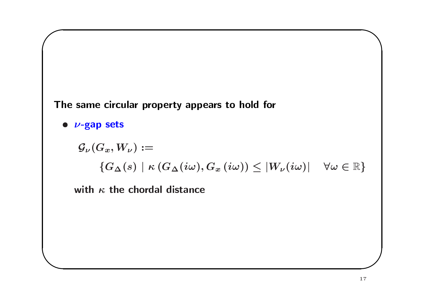



$$
\begin{aligned} \mathcal{G}_{\nu}(G_x,W_{\nu}) &:= \\ &\{G_{\Delta}(s) \mid \kappa\left(G_{\Delta}(i\omega),G_x\left(i\omega\right)\right) \leq |W_{\nu}(i\omega)| \quad \forall \omega \in \mathbb{R}\} \end{aligned}
$$

with  $\kappa$  the chordal distance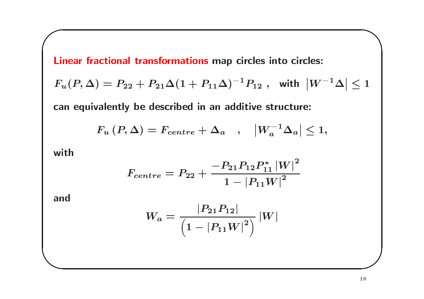Linear fractional transformations map circles into circles:  
\n
$$
F_u(P, \Delta) = P_{22} + P_{21}\Delta(1 + P_{11}\Delta)^{-1}P_{12} \text{, with } |W^{-1}\Delta| \le 1
$$
\ncan equivalently be described in an additive structure:

$$
F_u(P,\Delta) = F_{centre} + \Delta_a \quad , \quad |W_a^{-1}\Delta_a| \leq 1,
$$

with

$$
F_{centre}=P_{22}+\frac{-P_{21}P_{12}P_{11}^{\ast}\left| W\right| ^{2}}{1-\left| P_{11}W\right| ^{2}}
$$

and

$$
W_a = \frac{|P_{21}P_{12}|}{\left(1 - |P_{11}W|^2\right)}\,|W|
$$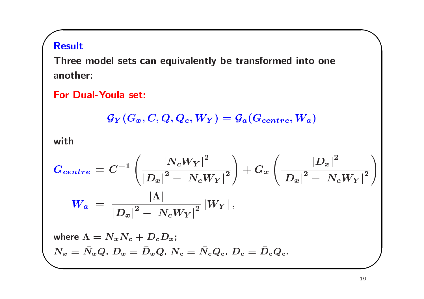## **Result**

Three model sets can equivalently be transformed into one another:

**For Dual-Youla set:** 

$$
{\mathcal{G}}_Y(G_x,C,Q,Q_c,W_Y)={\mathcal{G}}_a(G_{centre},W_a)
$$

with

$$
G_{centre} = C^{-1} \left( \frac{|N_c W_Y|^2}{|D_x|^2 - |N_c W_Y|^2} \right) + G_x \left( \frac{|D_x|^2}{|D_x|^2 - |N_c W_Y|^2} \right)
$$
  
\n
$$
W_a = \frac{|\Lambda|}{|D_x|^2 - |N_c W_Y|^2} |W_Y|,
$$
  
\nwhere  $\Lambda = N_x N_c + D_c D_x;$   
\n
$$
N_x = \bar{N}_x Q, D_x = \bar{D}_x Q, N_c = \bar{N}_c Q_c, D_c = \bar{D}_c Q_c.
$$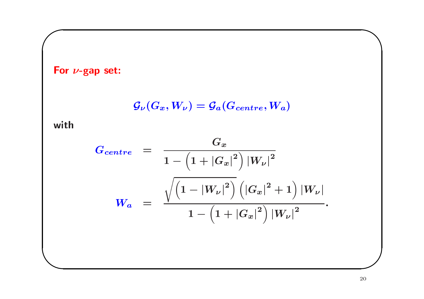For  $\nu$ -gap set:

$$
{\cal G}_{\nu}(G_x,W_{\nu})={\cal G}_{a}(G_{centre},W_{a})
$$

with

$$
G_{centre} = \frac{G_x}{1 - \left(1 + |G_x|^2\right)|W_{\nu}|^2}
$$

$$
W_a = \frac{\sqrt{\left(1 - |W_{\nu}|^2\right)} \left(|G_x|^2 + 1\right)|W_{\nu}|}{1 - \left(1 + |G_x|^2\right)|W_{\nu}|^2}.
$$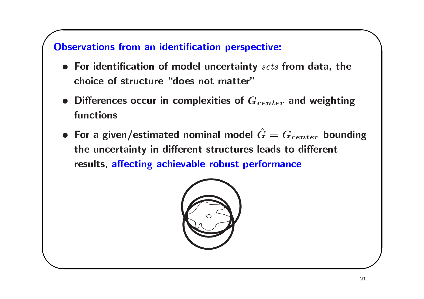## **Observations from an identification perspective:**

- $\bullet$  For identification of model uncertainty sets from data, the choice of structure "does not matter"
- Differences occur in complexities of  $G_{center}$  and weighting functions
- For a given/estimated nominal model  $\hat{G} = G_{center}$  bounding the uncertainty in different structures leads to different results, affecting achievable robust performance

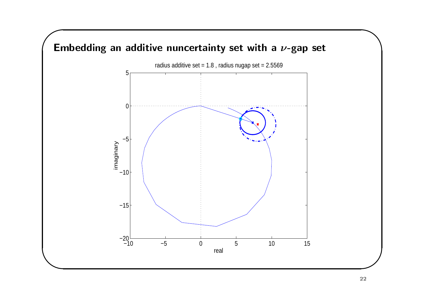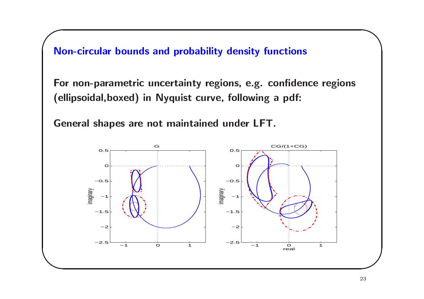Non-circular bounds and probability density functions

For non-parametric uncertainty regions, e.g. confidence regions (ellipsoidal, boxed) in Nyquist curve, following a pdf:

General shapes are not maintained under LFT.

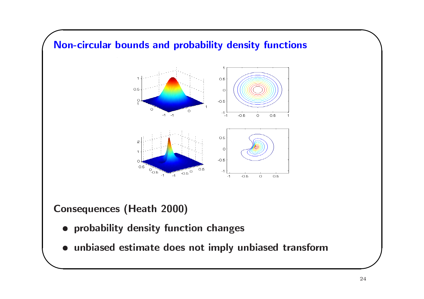

**Consequences (Heath 2000)** 

- · probability density function changes
- unbiased estimate does not imply unbiased transform